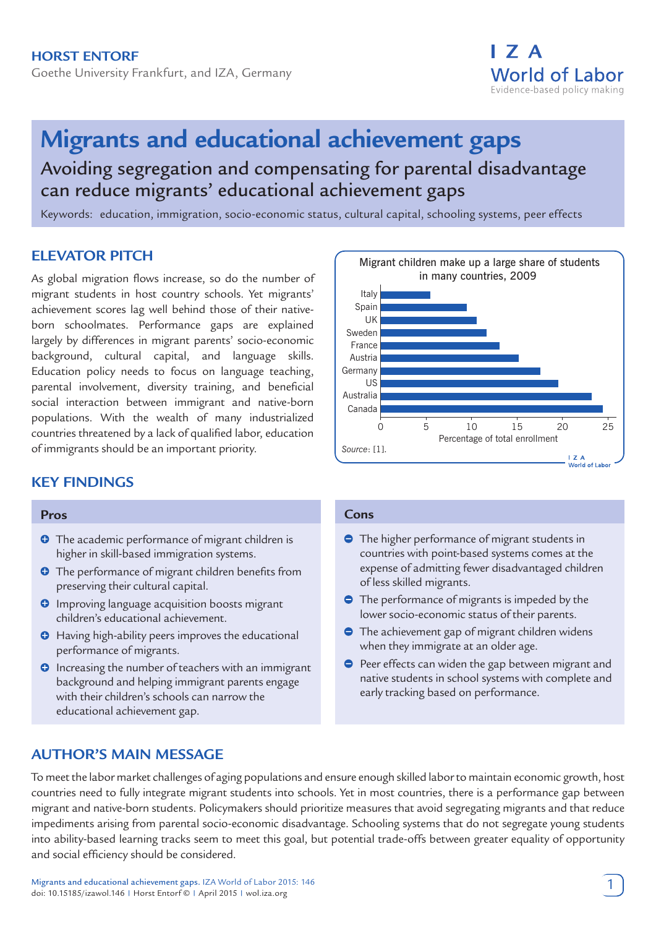Goethe University Frankfurt, and IZA, Germany



# **Migrants and educational achievement gaps**

Avoiding segregation and compensating for parental disadvantage can reduce migrants' educational achievement gaps

Keywords: education, immigration, socio-economic status, cultural capital, schooling systems, peer effects

# **ELEVATOR PITCH**

As global migration flows increase, so do the number of migrant students in host country schools. Yet migrants' achievement scores lag well behind those of their nativeborn schoolmates. Performance gaps are explained largely by differences in migrant parents' socio-economic background, cultural capital, and language skills. Education policy needs to focus on language teaching, parental involvement, diversity training, and beneficial social interaction between immigrant and native-born populations. With the wealth of many industrialized countries threatened by a lack of qualified labor, education of immigrants should be an important priority.

# **KEY FINDINGS**

#### **Pros**

- **O** The academic performance of migrant children is higher in skill-based immigration systems.
- **O** The performance of migrant children benefits from preserving their cultural capital.
- $\Theta$  Improving language acquisition boosts migrant children's educational achievement.
- **O** Having high-ability peers improves the educational performance of migrants.
- **O** Increasing the number of teachers with an immigrant background and helping immigrant parents engage with their children's schools can narrow the educational achievement gap.

# **AUTHOR'S MAIN MESSAGE**



#### **Cons**

- **•** The higher performance of migrant students in countries with point-based systems comes at the expense of admitting fewer disadvantaged children of less skilled migrants.
- **•** The performance of migrants is impeded by the lower socio-economic status of their parents.
- **•** The achievement gap of migrant children widens when they immigrate at an older age.
- **Peer effects can widen the gap between migrant and** native students in school systems with complete and early tracking based on performance.

To meet the labor market challenges of aging populations and ensure enough skilled labor to maintain economic growth, host countries need to fully integrate migrant students into schools. Yet in most countries, there is a performance gap between migrant and native-born students. Policymakers should prioritize measures that avoid segregating migrants and that reduce impediments arising from parental socio-economic disadvantage. Schooling systems that do not segregate young students into ability-based learning tracks seem to meet this goal, but potential trade-offs between greater equality of opportunity and social efficiency should be considered.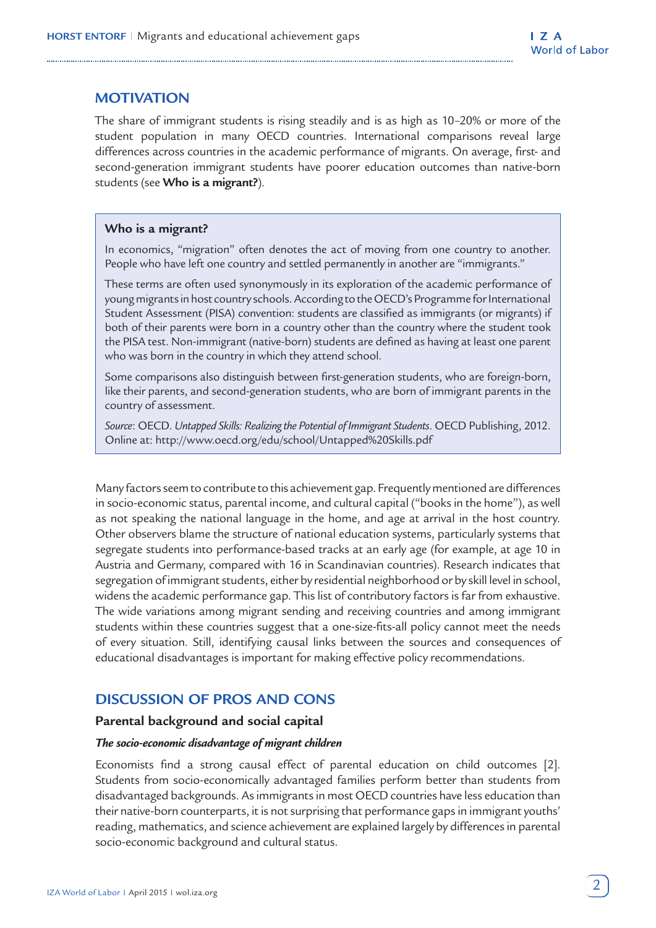# **MOTIVATION**

The share of immigrant students is rising steadily and is as high as 10–20% or more of the student population in many OECD countries. International comparisons reveal large differences across countries in the academic performance of migrants. On average, first- and second-generation immigrant students have poorer education outcomes than native-born students (see **Who is a migrant?**).

#### **Who is a migrant?**

In economics, "migration" often denotes the act of moving from one country to another. People who have left one country and settled permanently in another are "immigrants."

These terms are often used synonymously in its exploration of the academic performance of young migrants in host country schools. According to the OECD's Programme for International Student Assessment (PISA) convention: students are classified as immigrants (or migrants) if both of their parents were born in a country other than the country where the student took the PISA test. Non-immigrant (native-born) students are defined as having at least one parent who was born in the country in which they attend school.

Some comparisons also distinguish between first-generation students, who are foreign-born, like their parents, and second-generation students, who are born of immigrant parents in the country of assessment.

*Source*: OECD. *Untapped Skills: Realizing the Potential of Immigrant Students*. OECD Publishing, 2012. Online at: http://www.oecd.org/edu/school/Untapped%20Skills.pdf

Many factors seem to contribute to this achievement gap. Frequently mentioned are differences in socio-economic status, parental income, and cultural capital ("books in the home"), as well as not speaking the national language in the home, and age at arrival in the host country. Other observers blame the structure of national education systems, particularly systems that segregate students into performance-based tracks at an early age (for example, at age 10 in Austria and Germany, compared with 16 in Scandinavian countries). Research indicates that segregation of immigrant students, either by residential neighborhood or by skill level in school, widens the academic performance gap. This list of contributory factors is far from exhaustive. The wide variations among migrant sending and receiving countries and among immigrant students within these countries suggest that a one-size-fits-all policy cannot meet the needs of every situation. Still, identifying causal links between the sources and consequences of educational disadvantages is important for making effective policy recommendations.

## **DISCUSSION OF PROS AND CONS**

#### **Parental background and social capital**

#### *The socio-economic disadvantage of migrant children*

Economists find a strong causal effect of parental education on child outcomes [2]. Students from socio-economically advantaged families perform better than students from disadvantaged backgrounds. As immigrants in most OECD countries have less education than their native-born counterparts, it is not surprising that performance gaps in immigrant youths' reading, mathematics, and science achievement are explained largely by differences in parental socio-economic background and cultural status.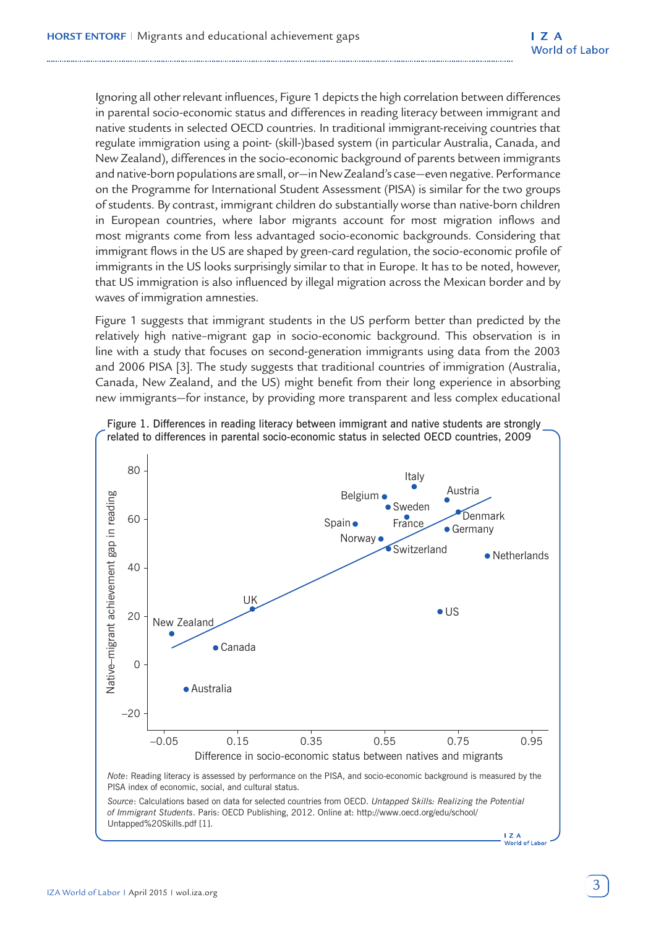Ignoring all other relevant influences, Figure 1 depicts the high correlation between differences in parental socio-economic status and differences in reading literacy between immigrant and native students in selected OECD countries. In traditional immigrant-receiving countries that regulate immigration using a point- (skill-)based system (in particular Australia, Canada, and New Zealand), differences in the socio-economic background of parents between immigrants and native-born populations are small, or—in New Zealand's case—even negative. Performance on the Programme for International Student Assessment (PISA) is similar for the two groups of students. By contrast, immigrant children do substantially worse than native-born children in European countries, where labor migrants account for most migration inflows and most migrants come from less advantaged socio-economic backgrounds. Considering that immigrant flows in the US are shaped by green-card regulation, the socio-economic profile of immigrants in the US looks surprisingly similar to that in Europe. It has to be noted, however, that US immigration is also influenced by illegal migration across the Mexican border and by waves of immigration amnesties.

Figure 1 suggests that immigrant students in the US perform better than predicted by the relatively high native–migrant gap in socio-economic background. This observation is in line with a study that focuses on second-generation immigrants using data from the 2003 and 2006 PISA [3]. The study suggests that traditional countries of immigration (Australia, Canada, New Zealand, and the US) might benefit from their long experience in absorbing new immigrants—for instance, by providing more transparent and less complex educational



Figure 1. Differences in reading literacy between immigrant and native students are strongly related to differences in parental socio-economic status in selected OECD countries, 2009

**I** Z A<br>World of Labor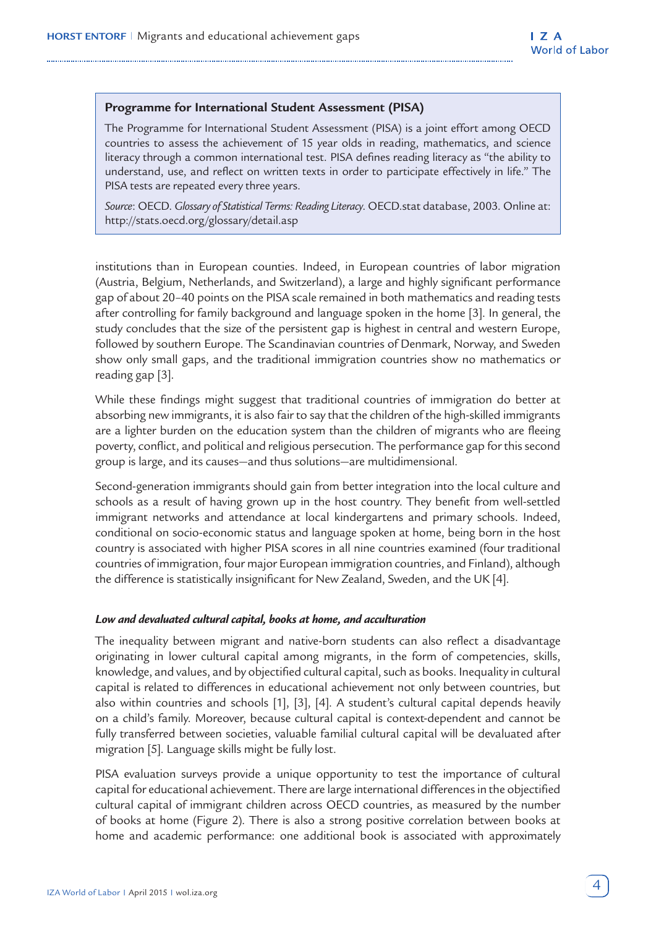#### **Programme for International Student Assessment (PISA)**

The Programme for International Student Assessment (PISA) is a joint effort among OECD countries to assess the achievement of 15 year olds in reading, mathematics, and science literacy through a common international test. PISA defines reading literacy as "the ability to understand, use, and reflect on written texts in order to participate effectively in life." The PISA tests are repeated every three years.

*Source*: OECD. *Glossary of Statistical Terms: Reading Literacy*. OECD.stat database, 2003. Online at: http://stats.oecd.org/glossary/detail.asp

institutions than in European counties. Indeed, in European countries of labor migration (Austria, Belgium, Netherlands, and Switzerland), a large and highly significant performance gap of about 20–40 points on the PISA scale remained in both mathematics and reading tests after controlling for family background and language spoken in the home [3]. In general, the study concludes that the size of the persistent gap is highest in central and western Europe, followed by southern Europe. The Scandinavian countries of Denmark, Norway, and Sweden show only small gaps, and the traditional immigration countries show no mathematics or reading gap [3].

While these findings might suggest that traditional countries of immigration do better at absorbing new immigrants, it is also fair to say that the children of the high-skilled immigrants are a lighter burden on the education system than the children of migrants who are fleeing poverty, conflict, and political and religious persecution. The performance gap for this second group is large, and its causes—and thus solutions—are multidimensional.

Second-generation immigrants should gain from better integration into the local culture and schools as a result of having grown up in the host country. They benefit from well-settled immigrant networks and attendance at local kindergartens and primary schools. Indeed, conditional on socio-economic status and language spoken at home, being born in the host country is associated with higher PISA scores in all nine countries examined (four traditional countries of immigration, four major European immigration countries, and Finland), although the difference is statistically insignificant for New Zealand, Sweden, and the UK [4].

#### *Low and devaluated cultural capital, books at home, and acculturation*

The inequality between migrant and native-born students can also reflect a disadvantage originating in lower cultural capital among migrants, in the form of competencies, skills, knowledge, and values, and by objectified cultural capital, such as books. Inequality in cultural capital is related to differences in educational achievement not only between countries, but also within countries and schools [1], [3], [4]. A student's cultural capital depends heavily on a child's family. Moreover, because cultural capital is context-dependent and cannot be fully transferred between societies, valuable familial cultural capital will be devaluated after migration [5]. Language skills might be fully lost.

PISA evaluation surveys provide a unique opportunity to test the importance of cultural capital for educational achievement. There are large international differences in the objectified cultural capital of immigrant children across OECD countries, as measured by the number of books at home (Figure 2). There is also a strong positive correlation between books at home and academic performance: one additional book is associated with approximately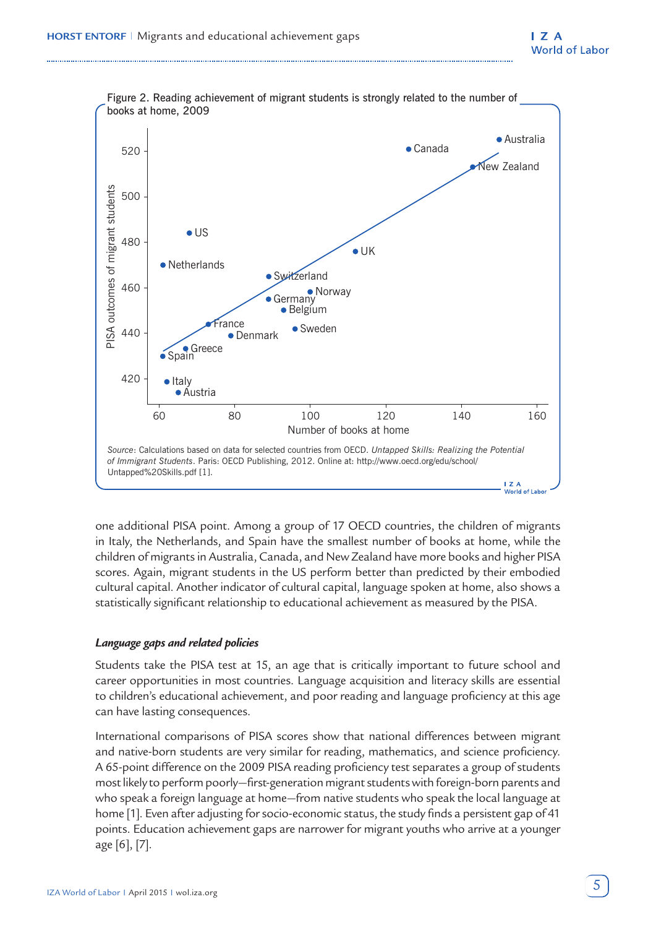

one additional PISA point. Among a group of 17 OECD countries, the children of migrants in Italy, the Netherlands, and Spain have the smallest number of books at home, while the children of migrants in Australia, Canada, and New Zealand have more books and higher PISA scores. Again, migrant students in the US perform better than predicted by their embodied cultural capital. Another indicator of cultural capital, language spoken at home, also shows a statistically significant relationship to educational achievement as measured by the PISA.

#### *Language gaps and related policies*

Students take the PISA test at 15, an age that is critically important to future school and career opportunities in most countries. Language acquisition and literacy skills are essential to children's educational achievement, and poor reading and language proficiency at this age can have lasting consequences.

International comparisons of PISA scores show that national differences between migrant and native-born students are very similar for reading, mathematics, and science proficiency. A 65-point difference on the 2009 PISA reading proficiency test separates a group of students most likely to perform poorly—first-generation migrant students with foreign-born parents and who speak a foreign language at home—from native students who speak the local language at home [1]. Even after adjusting for socio-economic status, the study finds a persistent gap of 41 points. Education achievement gaps are narrower for migrant youths who arrive at a younger age [6], [7].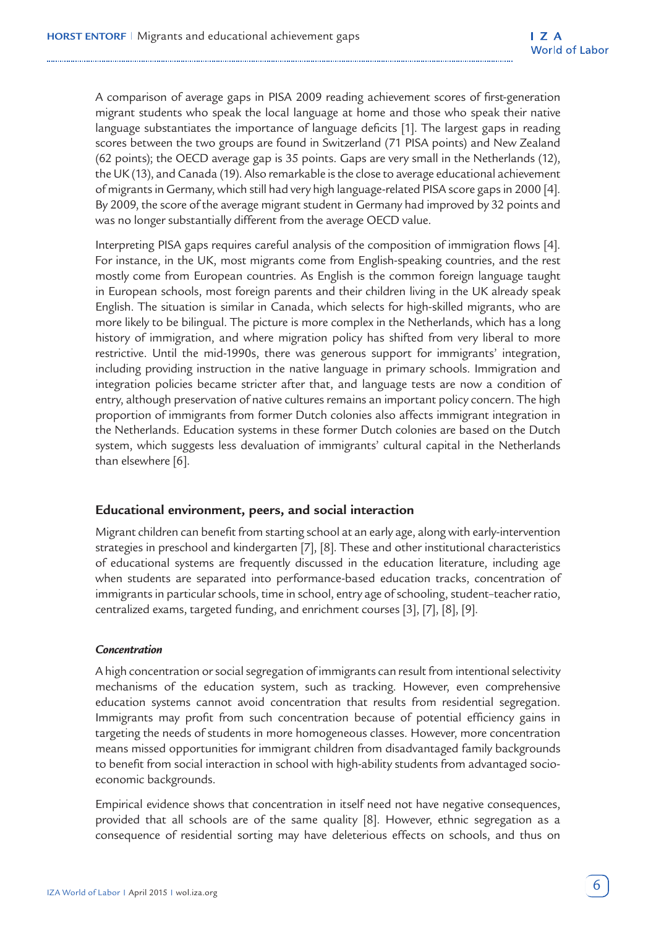A comparison of average gaps in PISA 2009 reading achievement scores of first-generation migrant students who speak the local language at home and those who speak their native language substantiates the importance of language deficits [1]. The largest gaps in reading scores between the two groups are found in Switzerland (71 PISA points) and New Zealand (62 points); the OECD average gap is 35 points. Gaps are very small in the Netherlands (12), the UK (13), and Canada (19). Also remarkable is the close to average educational achievement of migrants in Germany, which still had very high language-related PISA score gaps in 2000 [4]. By 2009, the score of the average migrant student in Germany had improved by 32 points and was no longer substantially different from the average OECD value.

Interpreting PISA gaps requires careful analysis of the composition of immigration flows [4]. For instance, in the UK, most migrants come from English-speaking countries, and the rest mostly come from European countries. As English is the common foreign language taught in European schools, most foreign parents and their children living in the UK already speak English. The situation is similar in Canada, which selects for high-skilled migrants, who are more likely to be bilingual. The picture is more complex in the Netherlands, which has a long history of immigration, and where migration policy has shifted from very liberal to more restrictive. Until the mid-1990s, there was generous support for immigrants' integration, including providing instruction in the native language in primary schools. Immigration and integration policies became stricter after that, and language tests are now a condition of entry, although preservation of native cultures remains an important policy concern. The high proportion of immigrants from former Dutch colonies also affects immigrant integration in the Netherlands. Education systems in these former Dutch colonies are based on the Dutch system, which suggests less devaluation of immigrants' cultural capital in the Netherlands than elsewhere [6].

#### **Educational environment, peers, and social interaction**

Migrant children can benefit from starting school at an early age, along with early-intervention strategies in preschool and kindergarten [7], [8]. These and other institutional characteristics of educational systems are frequently discussed in the education literature, including age when students are separated into performance-based education tracks, concentration of immigrants in particular schools, time in school, entry age of schooling, student–teacher ratio, centralized exams, targeted funding, and enrichment courses [3], [7], [8], [9].

#### *Concentration*

A high concentration or social segregation of immigrants can result from intentional selectivity mechanisms of the education system, such as tracking. However, even comprehensive education systems cannot avoid concentration that results from residential segregation. Immigrants may profit from such concentration because of potential efficiency gains in targeting the needs of students in more homogeneous classes. However, more concentration means missed opportunities for immigrant children from disadvantaged family backgrounds to benefit from social interaction in school with high-ability students from advantaged socioeconomic backgrounds.

Empirical evidence shows that concentration in itself need not have negative consequences, provided that all schools are of the same quality [8]. However, ethnic segregation as a consequence of residential sorting may have deleterious effects on schools, and thus on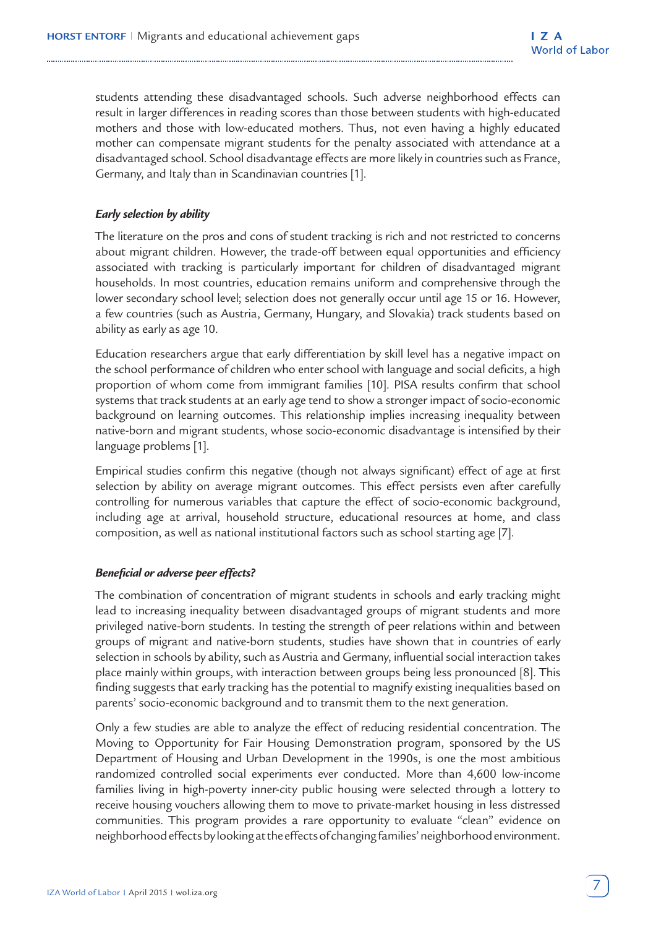students attending these disadvantaged schools. Such adverse neighborhood effects can result in larger differences in reading scores than those between students with high-educated mothers and those with low-educated mothers. Thus, not even having a highly educated mother can compensate migrant students for the penalty associated with attendance at a disadvantaged school. School disadvantage effects are more likely in countries such as France, Germany, and Italy than in Scandinavian countries [1].

## *Early selection by ability*

The literature on the pros and cons of student tracking is rich and not restricted to concerns about migrant children. However, the trade-off between equal opportunities and efficiency associated with tracking is particularly important for children of disadvantaged migrant households. In most countries, education remains uniform and comprehensive through the lower secondary school level; selection does not generally occur until age 15 or 16. However, a few countries (such as Austria, Germany, Hungary, and Slovakia) track students based on ability as early as age 10.

Education researchers argue that early differentiation by skill level has a negative impact on the school performance of children who enter school with language and social deficits, a high proportion of whom come from immigrant families [10]. PISA results confirm that school systems that track students at an early age tend to show a stronger impact of socio-economic background on learning outcomes. This relationship implies increasing inequality between native-born and migrant students, whose socio-economic disadvantage is intensified by their language problems [1].

Empirical studies confirm this negative (though not always significant) effect of age at first selection by ability on average migrant outcomes. This effect persists even after carefully controlling for numerous variables that capture the effect of socio-economic background, including age at arrival, household structure, educational resources at home, and class composition, as well as national institutional factors such as school starting age [7].

#### *Beneficial or adverse peer effects?*

The combination of concentration of migrant students in schools and early tracking might lead to increasing inequality between disadvantaged groups of migrant students and more privileged native-born students. In testing the strength of peer relations within and between groups of migrant and native-born students, studies have shown that in countries of early selection in schools by ability, such as Austria and Germany, influential social interaction takes place mainly within groups, with interaction between groups being less pronounced [8]. This finding suggests that early tracking has the potential to magnify existing inequalities based on parents' socio-economic background and to transmit them to the next generation.

Only a few studies are able to analyze the effect of reducing residential concentration. The Moving to Opportunity for Fair Housing Demonstration program, sponsored by the US Department of Housing and Urban Development in the 1990s, is one the most ambitious randomized controlled social experiments ever conducted. More than 4,600 low-income families living in high-poverty inner-city public housing were selected through a lottery to receive housing vouchers allowing them to move to private-market housing in less distressed communities. This program provides a rare opportunity to evaluate "clean" evidence on neighborhood effects by looking at the effects of changing families' neighborhood environment.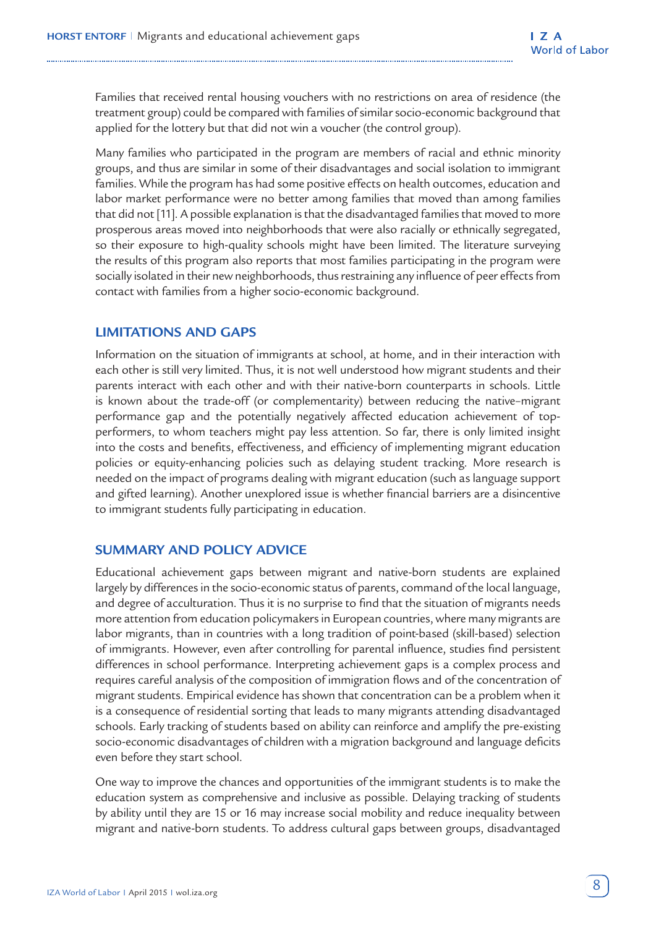Families that received rental housing vouchers with no restrictions on area of residence (the treatment group) could be compared with families of similar socio-economic background that applied for the lottery but that did not win a voucher (the control group).

Many families who participated in the program are members of racial and ethnic minority groups, and thus are similar in some of their disadvantages and social isolation to immigrant families. While the program has had some positive effects on health outcomes, education and labor market performance were no better among families that moved than among families that did not [11]. A possible explanation is that the disadvantaged families that moved to more prosperous areas moved into neighborhoods that were also racially or ethnically segregated, so their exposure to high-quality schools might have been limited. The literature surveying the results of this program also reports that most families participating in the program were socially isolated in their new neighborhoods, thus restraining any influence of peer effects from contact with families from a higher socio-economic background.

## **LIMITATIONS AND GAPS**

Information on the situation of immigrants at school, at home, and in their interaction with each other is still very limited. Thus, it is not well understood how migrant students and their parents interact with each other and with their native-born counterparts in schools. Little is known about the trade-off (or complementarity) between reducing the native–migrant performance gap and the potentially negatively affected education achievement of topperformers, to whom teachers might pay less attention. So far, there is only limited insight into the costs and benefits, effectiveness, and efficiency of implementing migrant education policies or equity-enhancing policies such as delaying student tracking. More research is needed on the impact of programs dealing with migrant education (such as language support and gifted learning). Another unexplored issue is whether financial barriers are a disincentive to immigrant students fully participating in education.

## **SUMMARY AND POLICY ADVICE**

Educational achievement gaps between migrant and native-born students are explained largely by differences in the socio-economic status of parents, command of the local language, and degree of acculturation. Thus it is no surprise to find that the situation of migrants needs more attention from education policymakers in European countries, where many migrants are labor migrants, than in countries with a long tradition of point-based (skill-based) selection of immigrants. However, even after controlling for parental influence, studies find persistent differences in school performance. Interpreting achievement gaps is a complex process and requires careful analysis of the composition of immigration flows and of the concentration of migrant students. Empirical evidence has shown that concentration can be a problem when it is a consequence of residential sorting that leads to many migrants attending disadvantaged schools. Early tracking of students based on ability can reinforce and amplify the pre-existing socio-economic disadvantages of children with a migration background and language deficits even before they start school.

One way to improve the chances and opportunities of the immigrant students is to make the education system as comprehensive and inclusive as possible. Delaying tracking of students by ability until they are 15 or 16 may increase social mobility and reduce inequality between migrant and native-born students. To address cultural gaps between groups, disadvantaged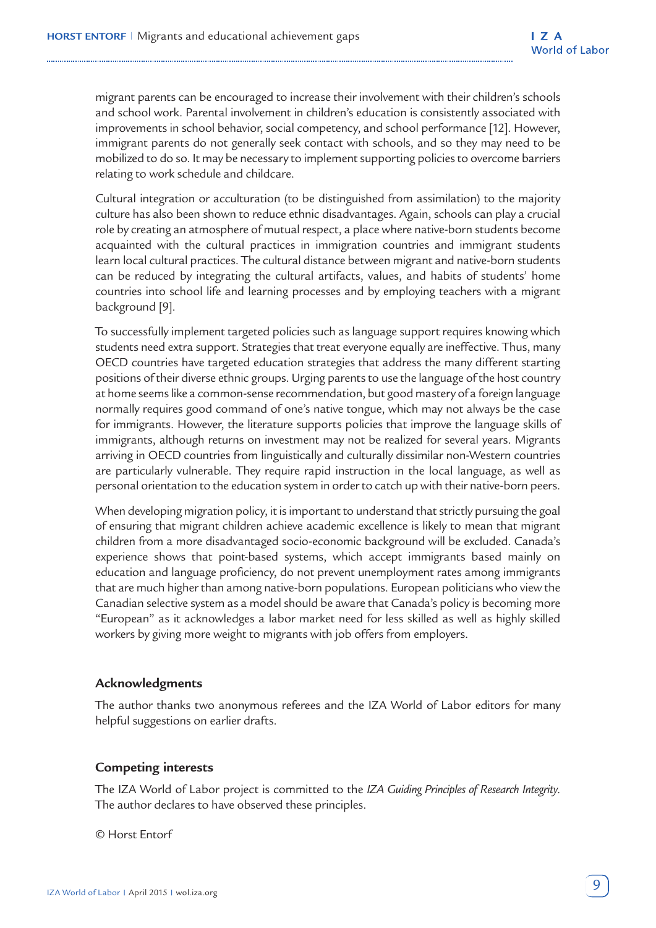migrant parents can be encouraged to increase their involvement with their children's schools and school work. Parental involvement in children's education is consistently associated with improvements in school behavior, social competency, and school performance [12]. However, immigrant parents do not generally seek contact with schools, and so they may need to be mobilized to do so. It may be necessary to implement supporting policies to overcome barriers relating to work schedule and childcare.

Cultural integration or acculturation (to be distinguished from assimilation) to the majority culture has also been shown to reduce ethnic disadvantages. Again, schools can play a crucial role by creating an atmosphere of mutual respect, a place where native-born students become acquainted with the cultural practices in immigration countries and immigrant students learn local cultural practices. The cultural distance between migrant and native-born students can be reduced by integrating the cultural artifacts, values, and habits of students' home countries into school life and learning processes and by employing teachers with a migrant background [9].

To successfully implement targeted policies such as language support requires knowing which students need extra support. Strategies that treat everyone equally are ineffective. Thus, many OECD countries have targeted education strategies that address the many different starting positions of their diverse ethnic groups. Urging parents to use the language of the host country at home seems like a common-sense recommendation, but good mastery of a foreign language normally requires good command of one's native tongue, which may not always be the case for immigrants. However, the literature supports policies that improve the language skills of immigrants, although returns on investment may not be realized for several years. Migrants arriving in OECD countries from linguistically and culturally dissimilar non-Western countries are particularly vulnerable. They require rapid instruction in the local language, as well as personal orientation to the education system in order to catch up with their native-born peers.

When developing migration policy, it is important to understand that strictly pursuing the goal of ensuring that migrant children achieve academic excellence is likely to mean that migrant children from a more disadvantaged socio-economic background will be excluded. Canada's experience shows that point-based systems, which accept immigrants based mainly on education and language proficiency, do not prevent unemployment rates among immigrants that are much higher than among native-born populations. European politicians who view the Canadian selective system as a model should be aware that Canada's policy is becoming more "European" as it acknowledges a labor market need for less skilled as well as highly skilled workers by giving more weight to migrants with job offers from employers.

## **Acknowledgments**

The author thanks two anonymous referees and the IZA World of Labor editors for many helpful suggestions on earlier drafts.

#### **Competing interests**

The IZA World of Labor project is committed to the *IZA Guiding Principles of Research Integrity*. The author declares to have observed these principles.

© Horst Entorf